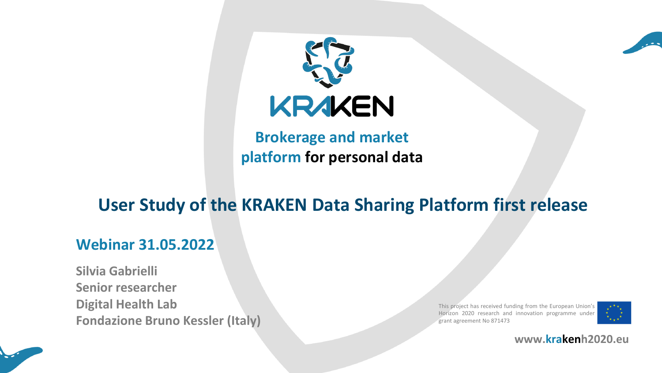



**Brokerage and market platform for personal data**

# **User Study of the KRAKEN Data Sharing Platform first release**

#### **Webinar 31.05.2022**

**Silvia Gabrielli Senior researcher Digital Health Lab Fondazione Bruno Kessler (Italy)**

This project has received funding from the European Union's Horizon 2020 research and innovation programme under grant agreement No 871473



**www.krakenh2020.eu**

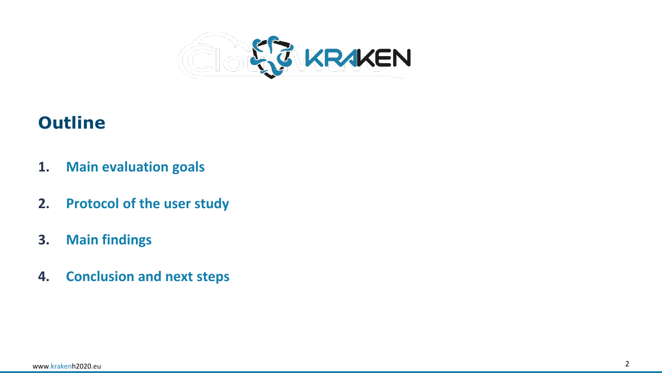

## **Outline**

- **1. Main evaluation goals**
- **2. Protocol of the user study**
- **3. Main findings**
- **4. Conclusion and next steps**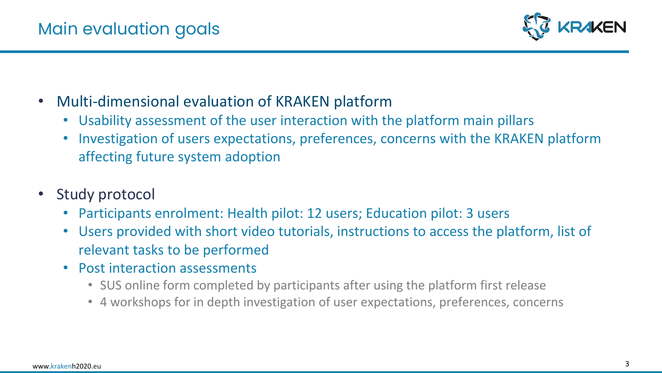

- Multi-dimensional evaluation of KRAKEN platform
	- Usability assessment of the user interaction with the platform main pillars
	- Investigation of users expectations, preferences, concerns with the KRAKEN platform affecting future system adoption
- Study protocol
	- Participants enrolment: Health pilot: 12 users; Education pilot: 3 users
	- Users provided with short video tutorials, instructions to access the platform, list of relevant tasks to be performed
	- Post interaction assessments
		- SUS online form completed by participants after using the platform first release
		- 4 workshops for in depth investigation of user expectations, preferences, concerns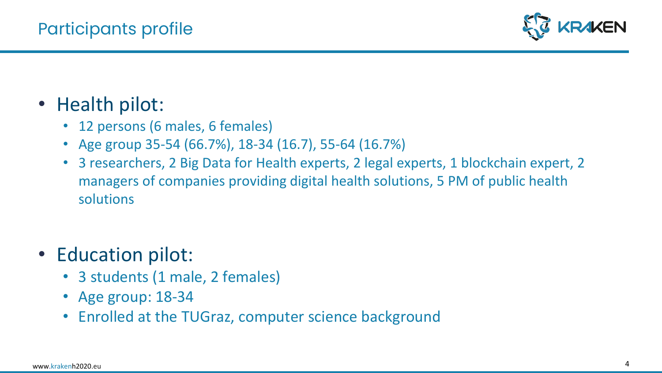

- Health pilot:
	- 12 persons (6 males, 6 females)
	- Age group 35-54 (66.7%), 18-34 (16.7), 55-64 (16.7%)
	- 3 researchers, 2 Big Data for Health experts, 2 legal experts, 1 blockchain expert, 2 managers of companies providing digital health solutions, 5 PM of public health solutions
- Education pilot:
	- 3 students (1 male, 2 females)
	- Age group: 18-34
	- Enrolled at the TUGraz, computer science background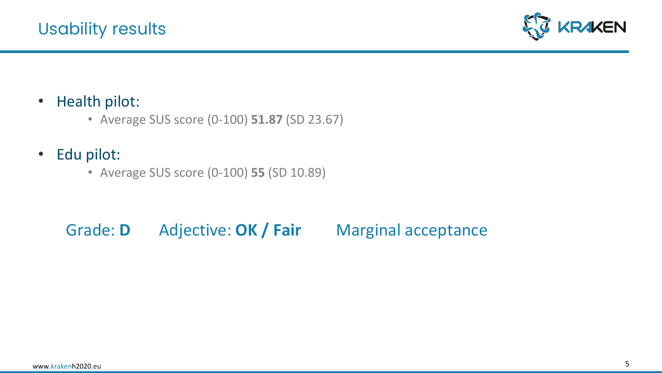

- Health pilot:
	- Average SUS score (0-100) **51.87** (SD 23.67)
- Edu pilot:
	- Average SUS score (0-100) **55** (SD 10.89)

# Grade: **D** Adjective: **OK / Fair** Marginal acceptance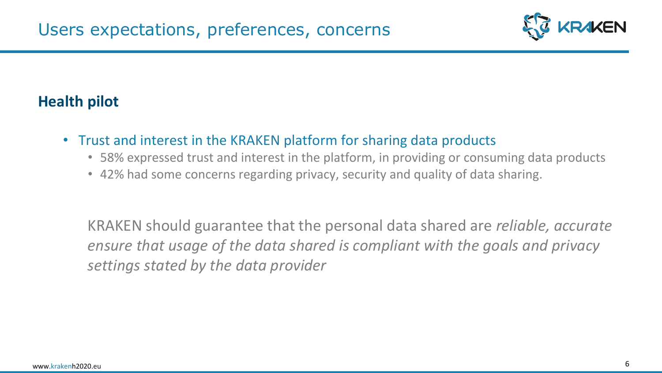

- Trust and interest in the KRAKEN platform for sharing data products
	- 58% expressed trust and interest in the platform, in providing or consuming data products
	- 42% had some concerns regarding privacy, security and quality of data sharing.

KRAKEN should guarantee that the personal data shared are *reliable, accurate ensure that usage of the data shared is compliant with the goals and privacy settings stated by the data provider*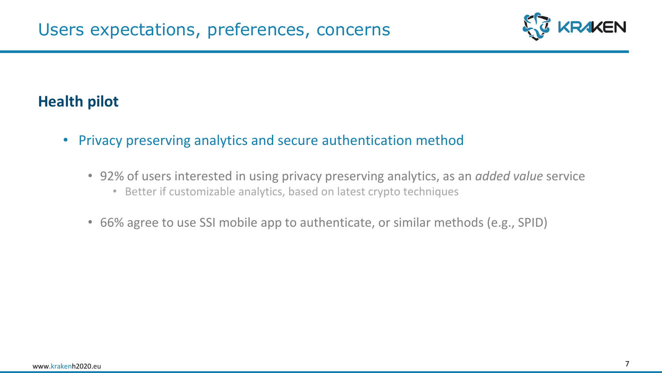

- Privacy preserving analytics and secure authentication method
	- 92% of users interested in using privacy preserving analytics, as an *added value* service
		- Better if customizable analytics, based on latest crypto techniques
	- 66% agree to use SSI mobile app to authenticate, or similar methods (e.g., SPID)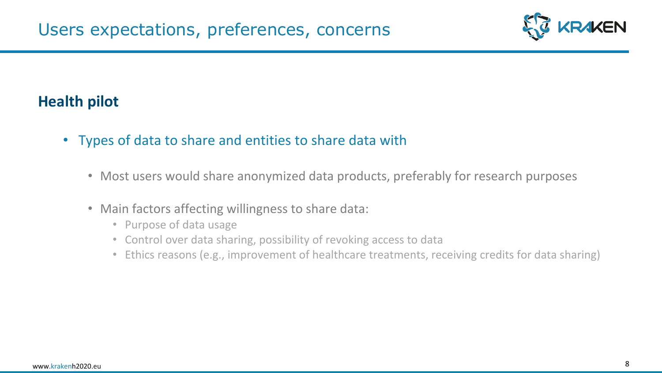

- Types of data to share and entities to share data with
	- Most users would share anonymized data products, preferably for research purposes
	- Main factors affecting willingness to share data:
		- Purpose of data usage
		- Control over data sharing, possibility of revoking access to data
		- Ethics reasons (e.g., improvement of healthcare treatments, receiving credits for data sharing)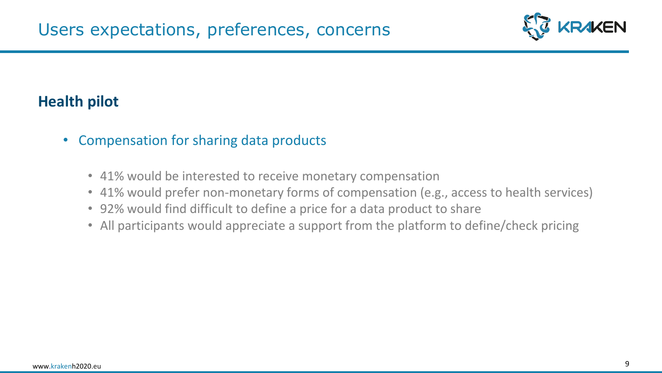

- Compensation for sharing data products
	- 41% would be interested to receive monetary compensation
	- 41% would prefer non-monetary forms of compensation (e.g., access to health services)
	- 92% would find difficult to define a price for a data product to share
	- All participants would appreciate a support from the platform to define/check pricing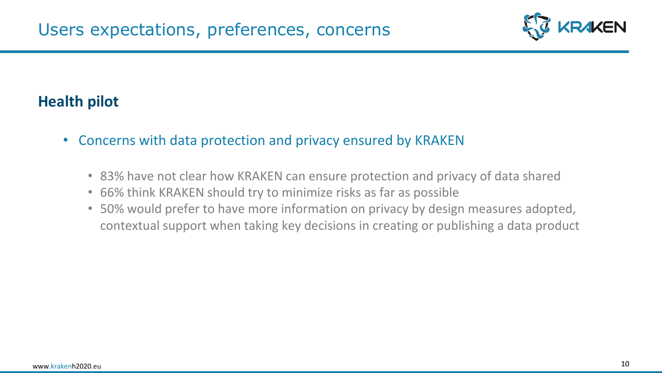

- Concerns with data protection and privacy ensured by KRAKEN
	- 83% have not clear how KRAKEN can ensure protection and privacy of data shared
	- 66% think KRAKEN should try to minimize risks as far as possible
	- 50% would prefer to have more information on privacy by design measures adopted, contextual support when taking key decisions in creating or publishing a data product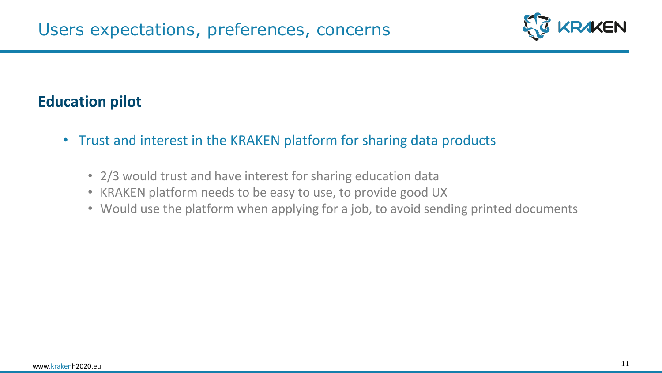

- Trust and interest in the KRAKEN platform for sharing data products
	- 2/3 would trust and have interest for sharing education data
	- KRAKEN platform needs to be easy to use, to provide good UX
	- Would use the platform when applying for a job, to avoid sending printed documents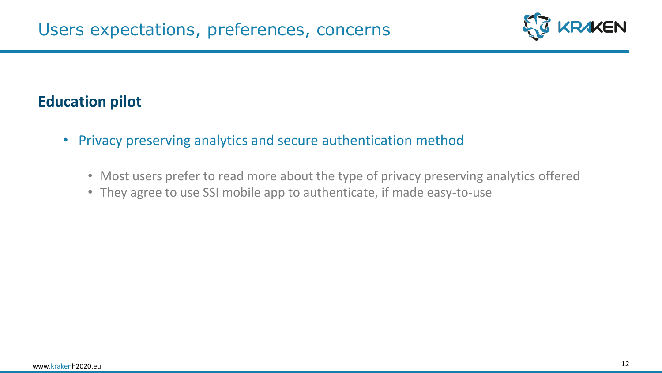

- Privacy preserving analytics and secure authentication method
	- Most users prefer to read more about the type of privacy preserving analytics offered
	- They agree to use SSI mobile app to authenticate, if made easy-to-use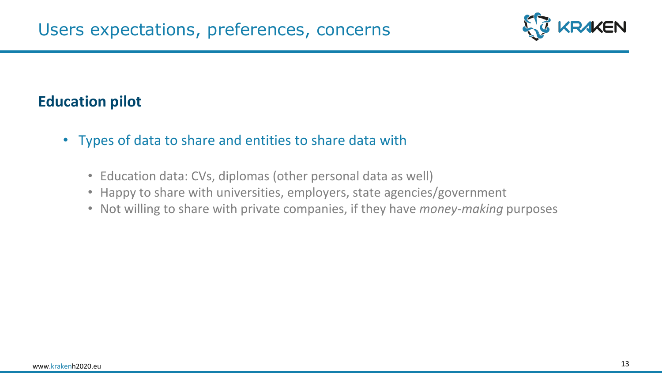

- Types of data to share and entities to share data with
	- Education data: CVs, diplomas (other personal data as well)
	- Happy to share with universities, employers, state agencies/government
	- Not willing to share with private companies, if they have *money-making* purposes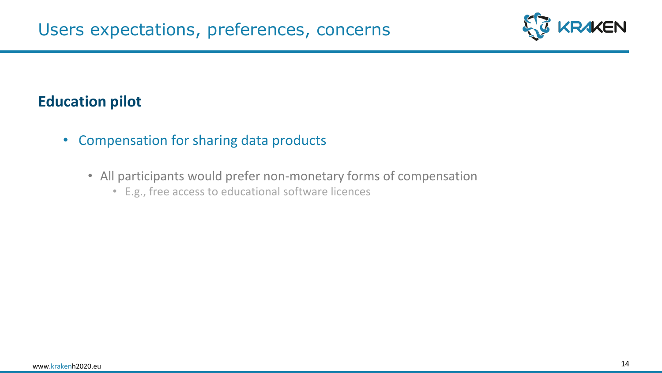

- Compensation for sharing data products
	- All participants would prefer non-monetary forms of compensation
		- E.g., free access to educational software licences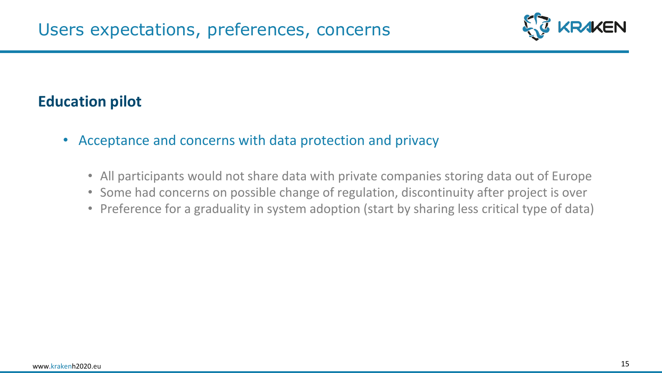

- Acceptance and concerns with data protection and privacy
	- All participants would not share data with private companies storing data out of Europe
	- Some had concerns on possible change of regulation, discontinuity after project is over
	- Preference for a graduality in system adoption (start by sharing less critical type of data)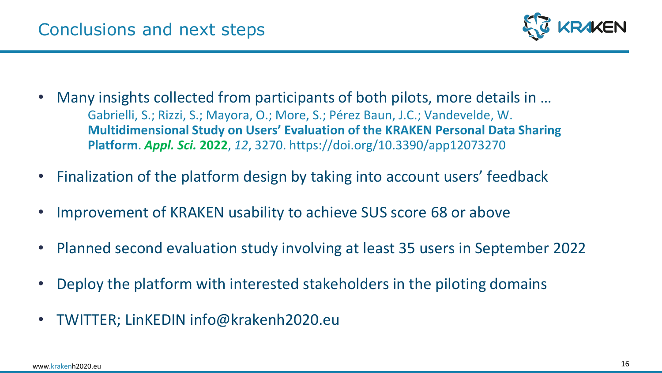

- Many insights collected from participants of both pilots, more details in … Gabrielli, S.; Rizzi, S.; Mayora, O.; More, S.; Pérez Baun, J.C.; Vandevelde, W. **Multidimensional Study on Users' Evaluation of the KRAKEN Personal Data Sharing Platform**. *Appl. Sci.* **2022**, *12*, 3270. https://doi.org/10.3390/app12073270
- Finalization of the platform design by taking into account users' feedback
- Improvement of KRAKEN usability to achieve SUS score 68 or above
- Planned second evaluation study involving at least 35 users in September 2022
- Deploy the platform with interested stakeholders in the piloting domains
- TWITTER; LinKEDIN info@krakenh2020.eu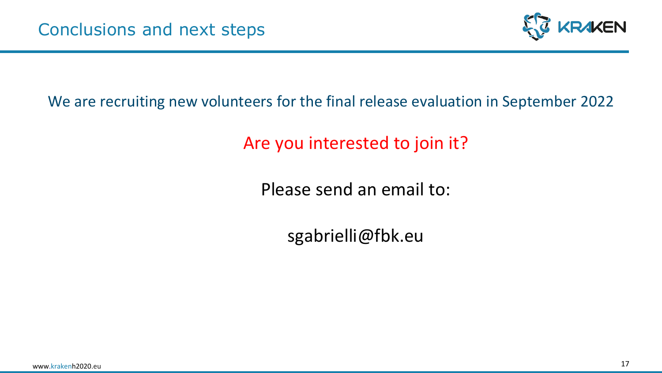

#### We are recruiting new volunteers for the final release evaluation in September 2022

Are you interested to join it?

Please send an email to:

sgabrielli@fbk.eu